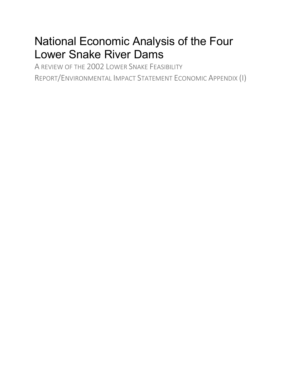# National Economic Analysis of the Four Lower Snake River Dams

A REVIEW OF THE 2002 LOWER SNAKE FEASIBILITY REPORT/ENVIRONMENTAL IMPACT STATEMENT ECONOMIC APPENDIX (I)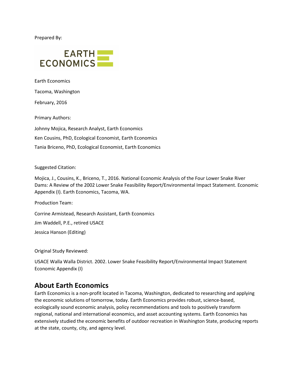Prepared By:



Earth Economics

Tacoma, Washington

February, 2016

Primary Authors:

Johnny Mojica, Research Analyst, Earth Economics Ken Cousins, PhD, Ecological Economist, Earth Economics Tania Briceno, PhD, Ecological Economist, Earth Economics

#### Suggested Citation:

Mojica, J., Cousins, K., Briceno, T., 2016. National Economic Analysis of the Four Lower Snake River Dams: A Review of the 2002 Lower Snake Feasibility Report/Environmental Impact Statement. Economic Appendix (I). Earth Economics, Tacoma, WA.

Production Team:

Corrine Armistead, Research Assistant, Earth Economics

Jim Waddell, P.E., retired USACE

Jessica Hanson (Editing)

Original Study Reviewed:

USACE Walla Walla District. 2002. Lower Snake Feasibility Report/Environmental Impact Statement Economic Appendix (I)

## **About Earth Economics**

Earth Economics is a non-profit located in Tacoma, Washington, dedicated to researching and applying the economic solutions of tomorrow, today. Earth Economics provides robust, science-based, ecologically sound economic analysis, policy recommendations and tools to positively transform regional, national and international economics, and asset accounting systems. Earth Economics has extensively studied the economic benefits of outdoor recreation in Washington State, producing reports at the state, county, city, and agency level.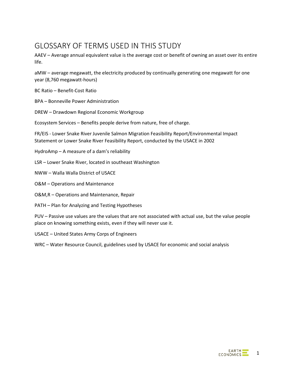## GLOSSARY OF TERMS USED IN THIS STUDY

AAEV – Average annual equivalent value is the average cost or benefit of owning an asset over its entire life.

aMW – average megawatt, the electricity produced by continually generating one megawatt for one year (8,760 megawatt-hours)

BC Ratio – Benefit-Cost Ratio

BPA – Bonneville Power Administration

DREW – Drawdown Regional Economic Workgroup

Ecosystem Services – Benefits people derive from nature, free of charge.

FR/EIS - Lower Snake River Juvenile Salmon Migration Feasibility Report/Environmental Impact Statement or Lower Snake River Feasibility Report, conducted by the USACE in 2002

HydroAmp – A measure of a dam's reliability

LSR – Lower Snake River, located in southeast Washington

NWW – Walla Walla District of USACE

O&M – Operations and Maintenance

O&M,R – Operations and Maintenance, Repair

PATH – Plan for Analyzing and Testing Hypotheses

PUV – Passive use values are the values that are not associated with actual use, but the value people place on knowing something exists, even if they will never use it.

USACE – United States Army Corps of Engineers

WRC – Water Resource Council, guidelines used by USACE for economic and social analysis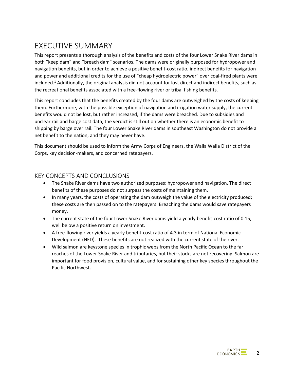## EXECUTIVE SUMMARY

This report presents a thorough analysis of the benefits and costs of the four Lower Snake River dams in both "keep dam" and "breach dam" scenarios. The dams were originally purposed for hydropower and navigation benefits, but in order to achieve a positive benefit-cost ratio, indirect benefits for navigation and power and additional credits for the use of "cheap hydroelectric power" over coal-fired plants were included.1 Additionally, the original analysis did not account for lost direct and indirect benefits, such as the recreational benefits associated with a free-flowing river or tribal fishing benefits.

<span id="page-3-0"></span>This report concludes that the benefits created by the four dams are outweighed by the costs of keeping them. Furthermore, with the possible exception of navigation and irrigation water supply, the current benefits would not be lost, but rather increased, if the dams were breached. Due to subsidies and unclear rail and barge cost data, the verdict is still out on whether there is an economic benefit to shipping by barge over rail. The four Lower Snake River dams in southeast Washington do not provide a net benefit to the nation, and they may never have.

This document should be used to inform the Army Corps of Engineers, the Walla Walla District of the Corps, key decision-makers, and concerned ratepayers.

### KEY CONCEPTS AND CONCLUSIONS

- The Snake River dams have two authorized purposes: hydropower and navigation. The direct benefits of these purposes do not surpass the costs of maintaining them.
- In many years, the costs of operating the dam outweigh the value of the electricity produced; these costs are then passed on to the ratepayers. Breaching the dams would save ratepayers money.
- The current state of the four Lower Snake River dams yield a yearly benefit-cost ratio of 0.15, well below a positive return on investment.
- $\bullet$  A free-flowing river yields a yearly benefit-cost ratio of 4.3 in term of National Economic Development (NED). These benefits are not realized with the current state of the river.
- Wild salmon are keystone species in trophic webs from the North Pacific Ocean to the far reaches of the Lower Snake River and tributaries, but their stocks are not recovering. Salmon are important for food provision, cultural value, and for sustaining other key species throughout the Pacific Northwest.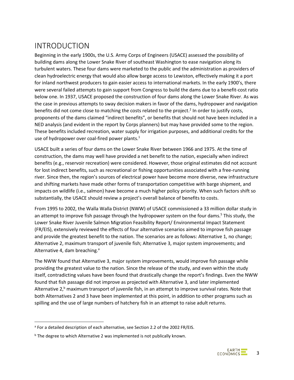## INTRODUCTION

Beginning in the early 1900s, the U.S. Army Corps of Engineers (USACE) assessed the possibility of building dams along the Lower Snake River of southeast Washington to ease navigation along its turbulent waters. These four dams were marketed to the public and the administration as providers of clean hydroelectric energy that would also allow barge access to Lewiston, effectively making it a port for inland northwest producers to gain easier access to international markets. In the early 1900's, there were several failed attempts to gain support from Congress to build the dams due to a benefit-cost ratio below one. In 1937, USACE proposed the construction of four dams along the Lower Snake River. As was the case in previous attempts to sway decision makers in favor of the dams, hydropower and navigation benefits did not come close to matching the costs related to the project.<sup>2</sup> In order to justify costs, proponents of the dams claimed "indirect benefits", or benefits that should not have been included in a NED analysis (and evident in the report by Corps planners) but may have provided some to the region. These benefits included recreation, water supply for irrigation purposes, and additional credits for the use of hydropower over coal-fired power plants.<sup>1</sup>

USACE built a series of four dams on the Lower Snake River between 1966 and 1975. At the time of construction, the dams may well have provided a net benefit to the nation, especially when indirect benefits (e.g., reservoir recreation) were considered. However, those original estimates did not account for lost indirect benefits, such as recreational or fishing opportunities associated with a free-running river. Since then, the region's sources of electrical power have become more diverse, new infrastructure and shifting markets have made other forms of transportation competitive with barge shipment, and impacts on wildlife (i.e., salmon) have become a much higher policy priority. When such factors shift so substantially, the USACE should review a project's overall balance of benefits to costs.

From 1995 to 2002, the Walla Walla District (NWW) of USACE commissioned a 33 million dollar study in an attempt to improve fish passage through the hydropower system on the four dams.<sup>5</sup> This study, the Lower Snake River Juvenile Salmon Migration Feasibility Report/ Environmental Impact Statement (FR/EIS), extensively reviewed the effects of four alternative scenarios aimed to improve fish passage and provide the greatest benefit to the nation. The scenarios are as follows: Alternative 1, no change; Alternative 2, maximum transport of juvenile fish; Alternative 3, major system improvements; and Alternative 4, dam breaching.<sup>a</sup>

The NWW found that Alternative 3, major system improvements, would improve fish passage while providing the greatest value to the nation. Since the release of the study, and even within the study itself, contradicting values have been found that drastically change the report's findings. Even the NWW found that fish passage did not improve as projected with Alternative 3, and later implemented Alternative 2, $<sup>b</sup>$  maximum transport of juvenile fish, in an attempt to improve survival rates. Note that</sup> both Alternatives 2 and 3 have been implemented at this point, in addition to other programs such as spilling and the use of large numbers of hatchery fish in an attempt to raise adult returns.

<sup>&</sup>lt;sup>a</sup> For a detailed description of each alternative, see Section 2.2 of the 2002 FR/EIS.

<sup>&</sup>lt;sup>b</sup> The degree to which Alternative 2 was implemented is not publically known.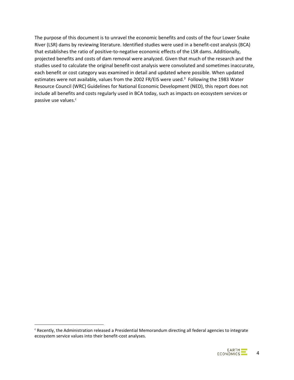<span id="page-5-0"></span>The purpose of this document is to unravel the economic benefits and costs of the four Lower Snake River (LSR) dams by reviewing literature. Identified studies were used in a benefit-cost analysis (BCA) that establishes the ratio of positive-to-negative economic effects of the LSR dams. Additionally, projected benefits and costs of dam removal were analyzed. Given that much of the research and the studies used to calculate the original benefit-cost analysis were convoluted and sometimes inaccurate, each benefit or cost category was examined in detail and updated where possible. When updated estimates were not available, values from the 2002 FR/EIS were used.<sup>3</sup> Following the 1983 Water Resource Council (WRC) Guidelines for National Economic Development (NED), this report does not include all benefits and costs regularly used in BCA today, such as impacts on ecosystem services or passive use values.<sup>c</sup>

c Recently, the Administration released a Presidential Memorandum directing all federal agencies to integrate ecosystem service values into their benefit-cost analyses.

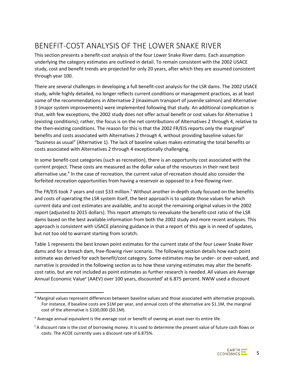## BENEFIT-COST ANALYSIS OF THE LOWER SNAKE RIVER

This section presents a benefit-cost analysis of the four Lower Snake River dams. Each assumption underlying the category estimates are outlined in detail. To remain consistent with the 2002 USACE study, cost and benefit trends are projected for only 20 years, after which they are assumed consistent through year 100.

There are several challenges in developing a full benefit-cost analysis for the LSR dams. The 2002 USACE study, while highly detailed, no longer reflects current conditions or management practices, as at least some of the recommendations in Alternative 2 (maximum transport of juvenile salmon) and Alternative 3 (major system improvements) were implemented following that study. An additional complication is that, with few exceptions, the 2002 study does not offer actual benefit or cost values for Alternative 1 (existing conditions); rather, the focus is on the net contributions of Alternatives 2 through 4, relative to the then-existing conditions. The reason for this is that the 2002 FR/EIS reports only the marginal<sup>d</sup> benefits and costs associated with Alternatives 2 through 4, without providing baseline values for "business as usual" (Alternative 1). The lack of baseline values makes estimating the total benefits or costs associated with Alternatives 2 through 4 exceptionally challenging.

In some benefit-cost categories (such as recreation), there is an opportunity cost associated with the current project. These costs are measured as the dollar value of the resources in their next best alternative use.4 In the case of recreation, the current value of recreation should also consider the forfeited recreation opportunities from having a reservoir as opposed to a free-flowing river.

<span id="page-6-0"></span>The FR/EIS took 7 years and cost \$33 million.<sup>5</sup> Without another in-depth study focused on the benefits and costs of operating the LSR system itself, the best approach is to update those values for which current data and cost estimates are available, and to accept the remaining original values in the 2002 report (adjusted to 2015 dollars). This report attempts to reevaluate the benefit-cost ratio of the LSR dams based on the best available information from both the 2002 study and more recent analyses. This approach is consistent with USACE planning guidance in that a report of this age is in need of updates, but not too old to warrant starting from scratch.

Table 1 represents the best known point estimates for the current state of the four Lower Snake River dams and for a breach dam, free-flowing river scenario. The following section details how each point estimate was derived for each benefit/cost category. Some estimates may be under- or over-valued, and narrative is provided in the following section as to how these varying estimates may alter the benefitcost ratio, but are not included as point estimates as further research is needed. All values are Average Annual Economic Value<sup>e</sup> (AAEV) over 100 years, discounted<sup>f</sup> at 6.875 percent. NWW used a discount

d Marginal values represent differences between baseline values and those associated with alternative proposals. For instance, if baseline costs are \$1M per year, and annual costs of the alternative are \$1.1M, the marginal cost of the alternative is \$100,000 (\$0.1M).

<sup>e</sup> Average annual equivalent is the average cost or benefit of owning an asset over its entire life.

<sup>&</sup>lt;sup>f</sup> A discount rate is the cost of borrowing money. It is used to determine the present value of future cash flows or costs. The ACOE currently uses a discount rate of 6.875%.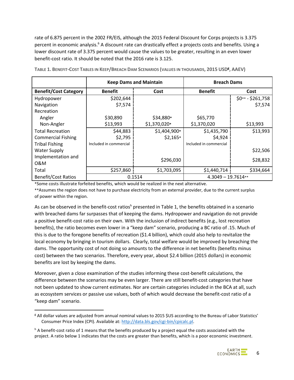rate of 6.875 percent in the 2002 FR/EIS, although the 2015 Federal Discount for Corps projects is 3.375 percent in economic analysis.<sup>6</sup> A discount rate can drastically effect a projects costs and benefits. Using a lower discount rate of 3.375 percent would cause the values to be greater, resulting in an even lower benefit-cost ratio. It should be noted that the 2016 rate is 3.125.

|                              |                        | <b>Keep Dams and Maintain</b> | <b>Breach Dams</b>     |                    |
|------------------------------|------------------------|-------------------------------|------------------------|--------------------|
| <b>Benefit/Cost Category</b> | <b>Benefit</b>         | Cost                          | <b>Benefit</b>         | Cost               |
| Hydropower                   | \$202,644              |                               |                        | $$0** - $261,758$$ |
| Navigation                   | \$7,574                |                               |                        | \$7,574            |
| Recreation                   |                        |                               |                        |                    |
| Angler                       | \$30,890               | \$34,880*                     | \$65,770               |                    |
| Non-Angler                   | \$13,993               | \$1,370,020*                  | \$1,370,020            | \$13,993           |
| <b>Total Recreation</b>      | \$44,883               | $$1,404,900*$                 | \$1,435,790            | \$13,993           |
| <b>Commercial Fishing</b>    | \$2,795                | $$2,165*$                     | \$4,924                |                    |
| <b>Tribal Fishing</b>        | Included in commercial |                               | Included in commercial |                    |
| <b>Water Supply</b>          |                        |                               |                        | \$22,506           |
| Implementation and           |                        | \$296,030                     |                        | \$28,832           |
| 0&M                          |                        |                               |                        |                    |
| Total                        | \$257,860              | \$1,703,095                   | \$1,440,714            | \$334,664          |
| <b>Benefit/Cost Ratios</b>   |                        | 0.1514                        | $4.3049 - 19.7614**$   |                    |

**TABLE 1. BENEFIT-COST TABLES IN KEEP/BREACH DAM SCENARIOS (VALUES IN THOUSANDS, 2015 USDg , AAEV)**

\*Some costs illustrate forfeited benefits, which would be realized in the next alternative.

\*\*Assumes the region does not have to purchase electricity from an external provider, due to the current surplus of power within the region.

As can be observed in the benefit-cost ratiosh presented in Table 1, the benefits obtained in a scenario with breached dams far surpasses that of keeping the dams. Hydropower and navigation do not provide a positive benefit-cost ratio on their own. With the inclusion of indirect benefits (e.g., lost recreation benefits), the ratio becomes even lower in a "keep dam" scenario, producing a BC ratio of .15. Much of this is due to the foregone benefits of recreation (\$1.4 billion), which could also help to revitalize the local economy by bringing in tourism dollars. Clearly, total welfare would be improved by breaching the dams. The opportunity cost of not doing so amounts to the difference in net benefits (benefits minus cost) between the two scenarios. Therefore, every year, about \$2.4 billion (2015 dollars) in economic benefits are lost by keeping the dams.

Moreover, given a close examination of the studies informing these cost-benefit calculations, the difference between the scenarios may be even larger. There are still benefit-cost categories that have not been updated to show current estimates. Nor are certain categories included in the BCA at all, such as ecosystem services or passive use values, both of which would decrease the benefit-cost ratio of a "keep dam" scenario.

g All dollar values are adjusted from annual nominal values to 2015 \$US according to the Bureau of Labor Statistics' Consumer Price Index (CPI). Available at: [http://data.bls.gov/cgi-bin/cpicalc.pl.](http://data.bls.gov/cgi-bin/cpicalc.pl)

 $h$  A benefit-cost ratio of 1 means that the benefits produced by a project equal the costs associated with the project. A ratio below 1 indicates that the costs are greater than benefits, which is a poor economic investment.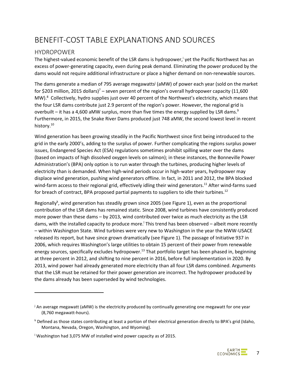## BENEFIT-COST TABLE EXPLANATIONS AND SOURCES

## HYDROPOWER

 $\overline{a}$ 

The highest-valued economic benefit of the LSR dams is hydropower, yet the Pacific Northwest has an excess of power-generating capacity, even during peak demand. Eliminating the power produced by the dams would not require additional infrastructure or place a higher demand on non-renewable sources.

The dams generate a median of 795 average megawatts<sup>j</sup> (aMW) of power each year (sold on the market for \$203 million, 2015 dollars)<sup>7</sup> – seven percent of the region's overall hydropower capacity (11,600 MW).<sup>8</sup> Collectively, hydro supplies just over 40 percent of the Northwest's electricity, which means that the four LSR dams contribute just 2.9 percent of the region's power. However, the regional grid is overbuilt – it has a 4,600 aMW surplus, more than five times the energy supplied by LSR dams.<sup>9</sup> Furthermore, in 2015, the Snake River Dams produced just 748 aMW, the second lowest level in recent history.<sup>10</sup>

Wind generation has been growing steadily in the Pacific Northwest since first being introduced to the grid in the early 2000's, adding to the surplus of power. Further complicating the regions surplus power issues, Endangered Species Act (ESA) regulations sometimes prohibit spilling water over the dams (based on impacts of high dissolved oxygen levels on salmon); in these instances, the Bonneville Power Administration's (BPA) only option is to run water through the turbines, producing higher levels of electricity than is demanded. When high-wind periods occur in high-water years, hydropower may displace wind generation, pushing wind generators offline. In fact, in 2011 and 2012, the BPA blocked wind-farm access to their regional grid, effectively idling their wind generators.<sup>11</sup> After wind-farms sued for breach of contract, BPA proposed partial payments to suppliers to idle their turbines.<sup>12</sup>

Regionally<sup>k</sup>, wind generation has steadily grown since 2005 (see [Figure 1\)](#page-9-0), even as the proportional contribution of the LSR dams has remained static. Since 2008, wind turbines have consistently produced more power than these dams – by 2013, wind contributed over twice as much electricity as the LSR dams, with the installed capacity to produce more.<sup> $\vert$ </sup> This trend has been observed – albeit more recently – within Washington State. Wind turbines were very new to Washington in the year the NWW-USACE released its report, but have since grown dramatically (see Figure 1). The passage of Initiative 937 in 2006, which requires Washington's large utilities to obtain 15 percent of their power from renewable energy sources, specifically excludes hydropower.<sup>13</sup> That portfolio target has been phased in, beginning at three percent in 2012, and shifting to nine percent in 2016, before full implementation in 2020. By 2013, wind power had already generated more electricity than all four LSR dams combined. Arguments that the LSR must be retained for their power generation are incorrect. The hydropower produced by the dams already has been superseded by wind technologies.



 $\mu$  An average megawatt (aMW) is the electricity produced by continually generating one megawatt for one year (8,760 megawatt-hours).

<sup>k</sup> Defined as those states contributing at least a portion of their electrical generation directly to BPA's grid (Idaho, Montana, Nevada, Oregon, Washington, and Wyoming).

<sup>l</sup> Washington had 3,075 MW of installed wind power capacity as of 2015.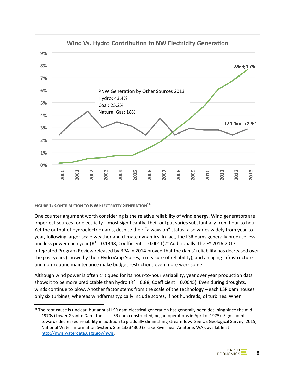

<span id="page-9-0"></span>**FIGURE 1: CONTRIBUTION TO NW ELECTRICITY GENERATION<sup>14</sup>** 

One counter argument worth considering is the relative reliability of wind energy. Wind generators are imperfect sources for electricity – most significantly, their output varies substantially from hour to hour. Yet the output of hydroelectric dams, despite their "always on" status, also varies widely from year-toyear, following larger-scale weather and climate dynamics. In fact, the LSR dams generally produce less and less power each year ( $R^2 = 0.1348$ , Coefficient = -0.0011).<sup>m</sup> Additionally, the FY 2016-2017 Integrated Program Review released by BPA in 2014 proved that the dams' reliability has decreased over the past years (shown by their HydroAmp Scores, a measure of reliability), and an aging infrastructure and non-routine maintenance make budget restrictions even more worrisome.

Although wind power is often critiqued for its hour-to-hour variability, year over year production data shows it to be more predictable than hydro ( $R^2 = 0.88$ , Coefficient = 0.0045). Even during droughts, winds continue to blow. Another factor stems from the scale of the technology – each LSR dam houses only six turbines, whereas windfarms typically include scores, if not hundreds, of turbines. When

 $<sup>m</sup>$  The root cause is unclear, but annual LSR dam electrical generation has generally been declining since the mid-</sup> 1970s (Lower Granite Dam, the last LSR dam constructed, began operations in April of 1975). Signs point towards decreased reliability in addition to gradually diminishing streamflow. See US Geological Survey, 2015, National Water Information System, Site 13334300 (Snake River near Anatone, WA), available at: [http://nwis.waterdata.usgs.gov/nwis.](http://nwis.waterdata.usgs.gov/nwis)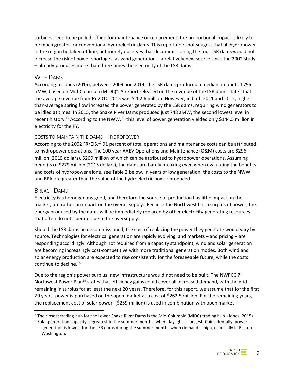turbines need to be pulled offline for maintenance or replacement, the proportional impact is likely to be much greater for conventional hydroelectric dams. This report does not suggest that all hydropower in the region be taken offline, but merely observes that decommissioning the four LSR dams would not increase the risk of power shortages, as wind generation – a relatively new source since the 2002 study – already produces more than three times the electricity of the LSR dams.

#### WITH DAMS

According to Jones (2015), between 2009 and 2014, the LSR dams produced a median amount of 795 aMW, based on Mid-Columbia (MIDC)<sup>n</sup>. A report released on the revenue of the LSR dams states that the average revenue from FY 2010-2015 was \$202.6 million. However, in both 2011 and 2012, higherthan-average spring flow increased the power generated by the LSR dams, requiring wind generators to be idled at times. In 2015, the Snake River Dams produced just 748 aMW, the second lowest level in recent history.<sup>15</sup> According to the NWW, <sup>16</sup> this level of power generation yielded only \$144.5 million in electricity for the FY.

#### COSTS TO MAINTAIN THE DAMS – HYDROPOWER

According to the 2002 FR/EIS,<sup>17</sup> 91 percent of total operations and maintenance costs can be attributed to hydropower operations. The 100 year AAEV Operations and Maintenance (O&M) costs are \$296 million (2015 dollars), \$269 million of which can be attributed to hydropower operations. Assuming benefits of \$279 million (2015 dollars), the dams are barely breaking even when evaluating the benefits and costs of hydropower alone, see Table 2 below. In years of low generation, the costs to the NWW and BPA are greater than the value of the hydroelectric power produced.

#### BREACH DAMS

Electricity is a homogenous good, and therefore the source of production has little impact on the market, but rather an impact on the overall supply. Because the Northwest has a surplus of power, the energy produced by the dams will be immediately replaced by other electricity-generating resources that often do not operate due to the oversupply.

Should the LSR dams be decommissioned, the cost of replacing the power they generate would vary by source. Technologies for electrical generation are rapidly evolving, and markets – and pricing – are responding accordingly. Although not required from a capacity standpoint, wind and solar generation are becoming increasingly cost-competitive with more traditional generation modes. Both wind and solar energy production are expected to rise consistently for the foreseeable future, while the costs continue to decline.18

Due to the region's power surplus, new infrastructure would not need to be built. The NWPCC 7<sup>th</sup> Northwest Power Plan<sup>19</sup> states that efficiency gains could cover all increased demand, with the grid remaining in surplus for at least the next 20 years. Therefore, for this report, we assume that for the first 20 years, power is purchased on the open market at a cost of \$262.5 million. For the remaining years, the replacement cost of solar power<sup>o</sup> (\$259 million) is used in combination with open market

n The closest trading hub for the Lower Snake River Dams is the Mid-Columbia (MIDC) trading hub. (Jones, 2015)

<sup>o</sup> Solar generation capacity is greatest in the summer months, when daylight is longest. Coincidentally, power generation is lowest for the LSR dams during the summer months when demand is high, especially in Eastern Washington.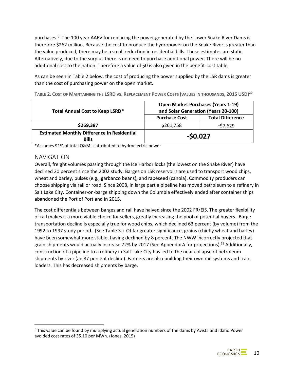purchases.<sup>P</sup> The 100 year AAEV for replacing the power generated by the Lower Snake River Dams is therefore \$262 million. Because the cost to produce the hydropower on the Snake River is greater than the value produced, there may be a small reduction in residential bills. These estimates are static. Alternatively, due to the surplus there is no need to purchase additional power. There will be no additional cost to the nation. Therefore a value of \$0 is also given in the benefit-cost table.

As can be seen in Table 2 below, the cost of producing the power supplied by the LSR dams is greater than the cost of purchasing power on the open market.

| Total Annual Cost to Keep LSRD*                                    | <b>Open Market Purchases (Years 1-19)</b><br>and Solar Generation (Years 20-100) |                         |  |  |
|--------------------------------------------------------------------|----------------------------------------------------------------------------------|-------------------------|--|--|
|                                                                    | <b>Purchase Cost</b>                                                             | <b>Total Difference</b> |  |  |
| \$269,387                                                          | \$261,758                                                                        | $-57,629$               |  |  |
| <b>Estimated Monthly Difference In Residential</b><br><b>Bills</b> | $-50.027$                                                                        |                         |  |  |

**TABLE 2. COST OF MAINTAINING THE LSRD VS. REPLACEMENT POWER COSTS (VALUES IN THOUSANDS, 2015 USD) 20** 

\*Assumes 91% of total O&M is attributed to hydroelectric power

#### NAVIGATION

Overall, freight volumes passing through the Ice Harbor locks (the lowest on the Snake River) have declined 20 percent since the 2002 study. Barges on LSR reservoirs are used to transport wood chips, wheat and barley, pulses (e.g., garbanzo beans), and rapeseed (canola). Commodity producers can choose shipping via rail or road. Since 2008, in large part a pipeline has moved petroleum to a refinery in Salt Lake City. Container-on-barge shipping down the Columbia effectively ended after container ships abandoned the Port of Portland in 2015.

The cost differentials between barges and rail have halved since the 2002 FR/EIS. The greater flexibility of rail makes it a more viable choice for sellers, greatly increasing the pool of potential buyers. Barge transportation decline is especially true for wood chips, which declined 63 percent (by volume) from the 1992 to 1997 study period. (See Table 3.) Of far greater significance, grains (chiefly wheat and barley) have been somewhat more stable, having declined by 8 percent. The NWW incorrectly projected that grain shipments would actually increase 72% by 2017 (See Appendix A for projections).<sup>21</sup> Additionally, construction of a pipeline to a refinery in Salt Lake City has led to the near collapse of petroleum shipments by river (an 87 percent decline). Farmers are also building their own rail systems and train loaders. This has decreased shipments by barge.

p This value can be found by multiplying actual generation numbers of the dams by Avista and Idaho Power avoided cost rates of 35.10 per MWh. (Jones, 2015)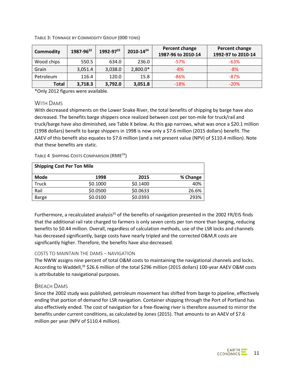| <b>Commodity</b> | 1987-96 <sup>22</sup> | $1992 - 97^{23}$ | $2010 - 14^{24}$ | Percent change<br>1987-96 to 2010-14 | Percent change<br>1992-97 to 2010-14 |
|------------------|-----------------------|------------------|------------------|--------------------------------------|--------------------------------------|
| Wood chips       | 550.5                 | 634.0            | 236.0            | $-57%$                               | $-63%$                               |
| Grain            | 3,051.4               | 3,038.0          | 2,800.0*         | $-8%$                                | $-8%$                                |
| Petroleum        | 116.4                 | 120.0            | 15.8             | $-86%$                               | $-87%$                               |
| Total            | 3,718.3               | 3,792.0          | 3,051.8          | $-18%$                               | $-20%$                               |

<span id="page-12-0"></span>**TABLE 3: TONNAGE BY COMMODITY GROUP (000 TONS)**

\*Only 2012 figures were available.

#### WITH DAMS

With decreased shipments on the Lower Snake River, the total benefits of shipping by barge have also decreased. The benefits barge shippers once realized between cost per ton-mile for truck/rail and truck/barge have also diminished, see Table X below. As this gap narrows, what was once a \$20.1 million (1998 dollars) benefit to barge shippers in 1998 is now only a \$7.6 million (2015 dollars) benefit. The AAEV of this benefit also equates to \$7.6 million (and a net present value (NPV) of \$110.4 million). Note that these benefits are static.

**TABLE 4 SHIPPING COSTS COMPARISON (RM[E24\)](#page-12-0)**

| <b>Shipping Cost Per Ton Mile</b> |          |          |          |  |  |  |  |  |  |
|-----------------------------------|----------|----------|----------|--|--|--|--|--|--|
| <b>Mode</b>                       | 1998     | 2015     | % Change |  |  |  |  |  |  |
| Truck                             | \$0.1000 | \$0.1400 | 40%      |  |  |  |  |  |  |
| Rail                              | \$0.0500 | \$0.0633 | 26.6%    |  |  |  |  |  |  |
| Barge                             | \$0.0100 | \$0.0393 | 293%     |  |  |  |  |  |  |

Furthermore, a recalculated analysis<sup>25</sup> of the benefits of navigation presented in the 2002 FR/EIS finds that the additional rail rate charged to farmers is only seven cents per ton more than barging, reducing benefits to \$0.44 million. Overall, regardless of calculation methods, use of the LSR locks and channels has decreased significantly, barge costs have nearly tripled and the corrected O&M,R costs are significantly higher. Therefore, the benefits have also decreased.

#### COSTS TO MAINTAIN THE DAMS – NAVIGATION

The NWW assigns nine percent of total O&M costs to maintaining the navigational channels and locks. According to Waddell,<sup>26</sup> \$26.6 million of the total \$296 million (2015 dollars) 100-year AAEV O&M costs is attributable to navigational purposes.

#### BREACH DAMS

Since the 2002 study was published, petroleum movement has shifted from barge to pipeline, effectively ending that portion of demand for LSR navigation. Container shipping through the Port of Portland has also effectively ended. The cost of navigation for a free-flowing river is therefore assumed to mirror the benefits under current conditions, as calculated by Jones (2015). That amounts to an AAEV of \$7.6 million per year (NPV of \$110.4 million).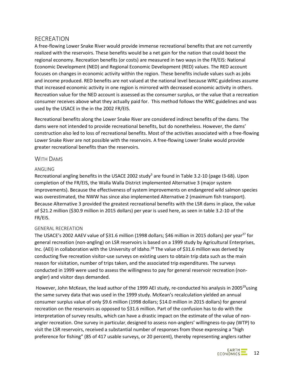### RECREATION

A free-flowing Lower Snake River would provide immense recreational benefits that are not currently realized with the reservoirs. These benefits would be a net gain for the nation that could boost the regional economy. Recreation benefits (or costs) are measured in two ways in the FR/EIS: National Economic Development (NED) and Regional Economic Development (RED) values. The RED account focuses on changes in economic activity within the region. These benefits include values such as jobs and income produced. RED benefits are not valued at the national level because WRC guidelines assume that increased economic activity in one region is mirrored with decreased economic activity in others. Recreation value for the NED account is assessed as the consumer surplus, or the value that a recreation consumer receives above what they actually paid for. This method follows the WRC guidelines and was used by the USACE in the in the 2002 FR/EIS.

Recreational benefits along the Lower Snake River are considered indirect benefits of the dams. The dams were not intended to provide recreational benefits, but do nonetheless. However, the dams' construction also led to loss of recreational benefits. Most of the activities associated with a free-flowing Lower Snake River are not possible with the reservoirs. A free-flowing Lower Snake would provide greater recreational benefits than the reservoirs.

#### WITH DAMS

#### ANGLING

Recreational angling benefits in the USACE 2002 study<sup>3</sup> are found in Table 3.2-10 (page I3-68). Upon completion of the FR/EIS, the Walla Walla District implemented Alternative 3 (major system improvements). Because the effectiveness of system improvements on endangered wild salmon species was overestimated, the NWW has since also implemented Alternative 2 (maximum fish transport). Because Alternative 3 provided the greatest recreational benefits with the LSR dams in place, the value of \$21.2 million (\$30.9 million in 2015 dollars) per year is used here, as seen in table 3.2-10 of the FR/EIS.

#### GENERAL RECREATION

The USACE's 2002 AAEV value of \$31.6 million (1998 dollars; \$46 million in 2015 dollars) per year<sup>27</sup> for general recreation (non-angling) on LSR reservoirs is based on a 1999 study by Agricultural Enterprises, Inc. (AEI) in collaboration with the University of Idaho.<sup>28</sup> The value of \$31.6 million was derived by conducting five recreation visitor-use surveys on existing users to obtain trip data such as the main reason for visitation, number of trips taken, and the associated trip expenditures. The surveys conducted in 1999 were used to assess the willingness to pay for general reservoir recreation (nonangler) and visitor days demanded.

However, John McKean, the lead author of the 1999 AEI study, re-conducted his analysis in 2005<sup>29</sup>using the same survey data that was used in the 1999 study. McKean's recalculation yielded an annual consumer surplus value of only \$9.6 million (1998 dollars; \$14.0 million in 2015 dollars) for general recreation on the reservoirs as opposed to \$31.6 million. Part of the confusion has to do with the interpretation of survey results, which can have a drastic impact on the estimate of the value of nonangler recreation. One survey in particular, designed to assess non-anglers' willingness-to-pay (WTP) to visit the LSR reservoirs, received a substantial number of responses from those expressing a "high preference for fishing" (85 of 417 usable surveys, or 20 percent), thereby representing anglers rather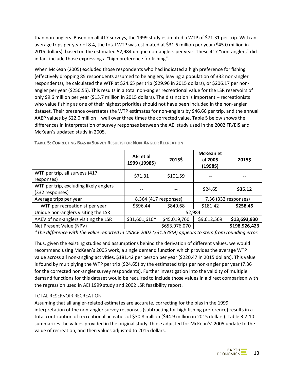than non-anglers. Based on all 417 surveys, the 1999 study estimated a WTP of \$71.31 per trip. With an average trips per year of 8.4, the total WTP was estimated at \$31.6 million per year (\$45.0 million in 2015 dollars), based on the estimated 52,984 unique non-anglers per year. These 417 "non-anglers" did in fact include those expressing a "high preference for fishing".

When McKean (2005) excluded those respondents who had indicated a high preference for fishing (effectively dropping 85 respondents assumed to be anglers, leaving a population of 332 non-angler respondents), he calculated the WTP at \$24.65 per trip (\$29.96 in 2015 dollars), or \$206.17 per nonangler per year (\$250.55). This results in a total non-angler recreational value for the LSR reservoirs of only \$9.6 million per year (\$13.7 million in 2015 dollars). The distinction is important – recreationists who value fishing as one of their highest priorities should not have been included in the non-angler dataset. Their presence overstates the WTP estimates for non-anglers by \$46.66 per trip, and the annual AAEP values by \$22.0 million – well over three times the corrected value. Table 5 below shows the differences in interpretation of survey responses between the AEI study used in the 2002 FR/EIS and McKean's updated study in 2005.

|                                                           | AEI et al<br>1999 (1998\$) | 2015\$                | <b>McKean et</b><br>al 2005<br>(19985) | 2015\$               |
|-----------------------------------------------------------|----------------------------|-----------------------|----------------------------------------|----------------------|
| WTP per trip, all surveys (417<br>responses)              | \$71.31                    | \$101.59              |                                        |                      |
| WTP per trip, excluding likely anglers<br>(332 responses) |                            |                       | \$24.65                                | \$35.12              |
| Average trips per year                                    |                            | 8.364 (417 responses) |                                        | 7.36 (332 responses) |
| WTP per recreationist per year                            | \$596.44                   | \$849.68              | \$181.42                               | \$258.45             |
| Unique non-anglers visiting the LSR                       |                            | 52,984                |                                        |                      |
| AAEV of non-anglers visiting the LSR                      | \$31,601,610*              | \$45,019,760          | \$9,612,569                            | \$13,693,930         |
| Net Present Value (NPV)                                   |                            | \$653,976,070         |                                        | \$198,926,423        |

**TABLE 5: CORRECTING BIAS IN SURVEY RESULTS FOR NON-ANGLER RECREATION**

*\*The difference with the value reported in USACE 2002 (\$31.578M) appears to stem from rounding error.*

Thus, given the existing studies and assumptions behind the derivation of different values, we would recommend using McKean's 2005 work, a single demand function which provides the average WTP value across all non-angling activities, \$181.42 per person per year (\$220.47 in 2015 dollars). This value is found by multiplying the WTP per trip (\$24.65) by the estimated trips per non-angler per year (7.36 for the corrected non-angler survey respondents). Further investigation into the validity of multiple demand functions for this dataset would be required to include those values in a direct comparison with the regression used in AEI 1999 study and 2002 LSR feasibility report.

#### TOTAL RESERVOIR RECREATION

Assuming that all angler-related estimates are accurate, correcting for the bias in the 1999 interpretation of the non-angler survey responses (subtracting for high fishing preference) results in a total contribution of recreational activities of \$30.8 million (\$44.9 million in 2015 dollars). Table 3.2-10 summarizes the values provided in the original study, those adjusted for McKean's' 2005 update to the value of recreation, and then values adjusted to 2015 dollars.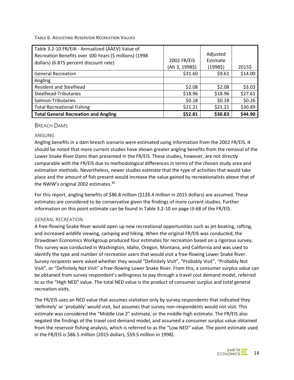**TABLE 6. ADJUSTING RESERVOIR RECREATION VALUES**

| Table 3.2-10 FR/EIA - Annualized (AAEV) Value of       |                 |          |         |
|--------------------------------------------------------|-----------------|----------|---------|
| Recreation Benefits over 100 Years (\$ millions) (1998 |                 | Adjusted |         |
| dollars) (6.875 percent discount rate)                 | 2002 FR/EIS     | Estimate |         |
|                                                        | (Alt 3, 1998\$) | (19985)  | 2015\$  |
| <b>General Recreation</b>                              | \$31.60         | \$9.61   | \$14.00 |
| Angling                                                |                 |          |         |
| <b>Resident and Steelhead</b>                          | \$2.08          | \$2.08   | \$3.03  |
| Steelhead-Tributaries                                  | \$18.96         | \$18.96  | \$27.61 |
| Salmon-Tributaries                                     | \$0.18          | \$0.18   | \$0.26  |
| <b>Total Recreational Fishing</b>                      | \$21.21         | \$21.21  | \$30.89 |
| <b>Total General Recreation and Angling</b>            | \$52.81         | \$30.83  | \$44.90 |

#### BREACH DAMS

#### ANGLING

Angling benefits in a dam breach scenario were estimated using information from the 2002 FR/EIS. It should be noted that more current studies have shown greater angling benefits from the removal of the Lower Snake River Dams than presented in the FR/EIS. These studies, however, are not directly comparable with the FR/EIS due to methodological differences in terms of the chosen study area and estimation methods. Nevertheless, newer studies estimate that the type of activities that would take place and the amount of fish present would increase the value gained by recreationalists above that of the NWW's original 2002 estimates.<sup>30</sup>

For this report, angling benefits of \$86.8 million (\$126.4 million in 2015 dollars) are assumed. These estimates are considered to be conservative given the findings of more current studies. Further information on this point estimate can be found in Table 3.2-10 on page I3-68 of the FR/EIS.

#### GENERAL RECREATION

A free-flowing Snake River would open up new recreational opportunities such as jet-boating, rafting, and increased wildlife viewing, camping and hiking. When the original FR/EIS was conducted, the Drawdown Economics Workgroup produced four estimates for recreation based on a rigorous survey. This survey was conducted in Washington, Idaho, Oregon, Montana, and California and was used to identify the type and number of recreation users that would visit a free-flowing Lower Snake River. Survey recipients were asked whether they would "Definitely Visit", "Probably Visit", "Probably Not Visit", or "Definitely Not Visit" a free-flowing Lower Snake River. From this, a consumer surplus value can be obtained from survey respondent's willingness to pay through a travel cost demand model, referred to as the "High NED" value. The total NED value is the product of consumer surplus and total general recreation visits.

The FR/EIS uses an NED value that assumes visitation only by survey respondents that indicated they 'definitely' or 'probably' would visit, but assumes that survey non-respondents would not visit. This estimate was considered the "Middle Use 2" estimate, or the middle-high estimate. The FR/EIS also negated the findings of the travel cost demand model, and assumed a consumer surplus value obtained from the reservoir fishing analysis, which is referred to as the "Low NED" value. The point estimate used in the FR/EIS is \$86.5 million (2015 dollars, \$59.5 million in 1998).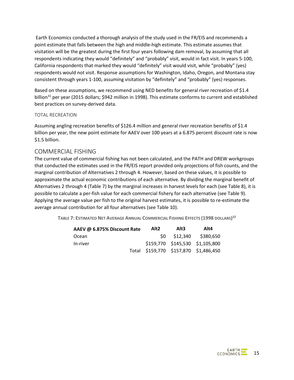Earth Economics conducted a thorough analysis of the study used in the FR/EIS and recommends a point estimate that falls between the high and middle-high estimate. This estimate assumes that visitation will be the greatest during the first four years following dam removal, by assuming that all respondents indicating they would "definitely" and "probably" visit, would in fact visit. In years 5-100, California respondents that marked they would "definitely" visit would visit, while "probably" (yes) respondents would not visit. Response assumptions for Washington, Idaho, Oregon, and Montana stay consistent through years 1-100, assuming visitation by "definitely" and "probably" (yes) responses.

Based on these assumptions, we recommend using NED benefits for general river recreation of \$1.4 billion<sup>31</sup> per year (2015 dollars; \$942 million in 1998). This estimate conforms to current and established best practices on survey-derived data.

#### TOTAL RECREATION

Assuming angling recreation benefits of \$126.4 million and general river recreation benefits of \$1.4 billion per year, the new point estimate for AAEV over 100 years at a 6.875 percent discount rate is now \$1.5 billion.

#### COMMERCIAL FISHING

The current value of commercial fishing has not been calculated, and the PATH and DREW workgroups that conducted the estimates used in the FR/EIS report provided only projections of fish counts, and the marginal contribution of Alternatives 2 through 4. However, based on these values, it is possible to approximate the actual economic contributions of each alternative. By dividing the marginal benefit of Alternatives 2 through 4 [\(Table 7\)](#page-16-0) by the marginal increases in harvest levels for each (se[e Table 8\)](#page-17-0), it is possible to calculate a per-fish value for each commercial fishery for each alternative (see [Table 9\)](#page-17-1). Applying the average value per fish to the original harvest estimates, it is possible to re-estimate the average annual contribution for all four alternatives (see [Table 10\)](#page-17-2).

<span id="page-16-0"></span>**TABLE 7: ESTIMATED NET AVERAGE ANNUAL COMMERCIAL FISHING EFFECTS (1998 DOLLARS) 32**

<span id="page-16-1"></span>

| AAEV @ 6.875% Discount Rate | Alt <sub>2</sub> | Alt3 | Alt4 |                                       |
|-----------------------------|------------------|------|------|---------------------------------------|
| Ocean                       |                  |      |      | \$0 \$12,340 \$380,650                |
| In-river                    |                  |      |      | \$159,770 \$145,530 \$1,105,800       |
|                             |                  |      |      | Total \$159,770 \$157,870 \$1,486,450 |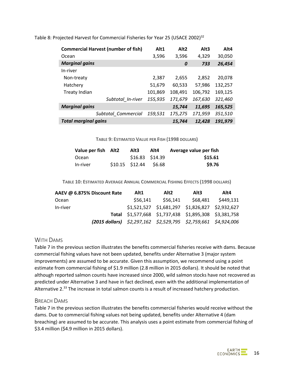| <b>Commercial Harvest (number of fish)</b> |                   | Alt1    | Alt <sub>2</sub> | Alt <sub>3</sub> | Alt4    |
|--------------------------------------------|-------------------|---------|------------------|------------------|---------|
| Ocean                                      |                   | 3,596   | 3,596            | 4,329            | 30,050  |
| <b>Marginal gains</b>                      |                   |         | 0                | 733              | 26,454  |
| In-river                                   |                   |         |                  |                  |         |
| Non-treaty                                 |                   | 2,387   | 2,655            | 2.852            | 20,078  |
| Hatchery                                   |                   | 51,679  | 60,533           | 57,986           | 132,257 |
| <b>Treaty Indian</b>                       |                   | 101,869 | 108,491          | 106,792          | 169,125 |
|                                            | Subtotal In-river | 155,935 | 171,679          | 167,630          | 321,460 |
| <b>Marginal gains</b>                      |                   |         | 15,744           | 11,695           | 165,525 |
| Subtotal Commercial                        |                   | 159.531 | 175,275          | 171,959          | 351,510 |
| <b>Total marginal gains</b>                |                   |         | 15.744           | 12,428           | 191.979 |

<span id="page-17-0"></span>Table 8: Projected Harvest for Commercial Fisheries for Year 25 (USACE 2002)<sup>32</sup>

**TABLE 9: ESTIMATED VALUE PER FISH (1998 DOLLARS)**

<span id="page-17-1"></span>

| Value per fish Alt2 | Alt3                      | Alt4            | Average value per fish |
|---------------------|---------------------------|-----------------|------------------------|
| Ocean               |                           | \$16.83 \$14.39 | \$15.61                |
| In-river            | $$10.15$ $$12.44$ $$6.68$ |                 | \$9.76                 |

**TABLE 10: ESTIMATED AVERAGE ANNUAL COMMERCIAL FISHING EFFECTS (1998 DOLLARS)**

<span id="page-17-2"></span>

| AAEV @ 6.875% Discount Rate                                          | Alt1     | Alt <sub>2</sub> | Alt3                                                  | Alt4      |
|----------------------------------------------------------------------|----------|------------------|-------------------------------------------------------|-----------|
| Ocean                                                                | \$56.141 | \$56.141         | \$68,481                                              | \$449,131 |
| In-river                                                             |          |                  | \$1,521,527 \$1,681,297 \$1,826,827 \$2,932,627       |           |
|                                                                      |          |                  | Total \$1,577,668 \$1,737,438 \$1,895,308 \$3,381,758 |           |
| $(2015$ dollars) $$2,297,162$ $$2,529,795$ $$2,759,661$ $$4,924,006$ |          |                  |                                                       |           |

#### WITH DAMS

Table 7 in the previous section illustrates the benefits commercial fisheries receive with dams. Because commercial fishing values have not been updated, benefits under Alternative 3 (major system improvements) are assumed to be accurate. Given this assumption, we recommend using a point estimate from commercial fishing of \$1.9 million (2.8 million in 2015 dollars). It should be noted that although reported salmon counts have increased since 2000, wild salmon stocks have not recovered as predicted under Alternative 3 and have in fact declined, even with the additional implementation of Alternative 2.<sup>33</sup> The increase in total salmon counts is a result of increased hatchery production.

#### BREACH DAMS

Table 7 in the previous section illustrates the benefits commercial fisheries would receive without the dams. Due to commercial fishing values not being updated, benefits under Alternative 4 (dam breaching) are assumed to be accurate. This analysis uses a point estimate from commercial fishing of \$3.4 million (\$4.9 million in 2015 dollars).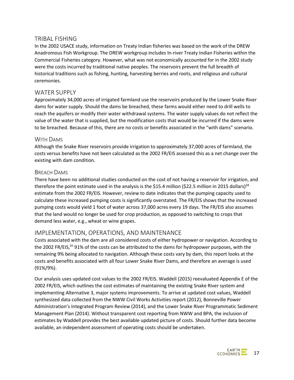### TRIBAL FISHING

In the 2002 USACE study, information on Treaty Indian fisheries was based on the work of the DREW Anadromous Fish Workgroup. The DREW workgroup includes In-river Treaty Indian Fisheries within the Commercial Fisheries category. However, what was not economically accounted for in the 2002 study were the costs incurred by traditional native peoples. The reservoirs prevent the full breadth of historical traditions such as fishing, hunting, harvesting berries and roots, and religious and cultural ceremonies.

### WATER SUPPLY

Approximately 34,000 acres of irrigated farmland use the reservoirs produced by the Lower Snake River dams for water supply. Should the dams be breached, these farms would either need to drill wells to reach the aquifers or modify their water withdrawal systems. The water supply values do not reflect the value of the water that is supplied, but the modification costs that would be incurred if the dams were to be breached. Because of this, there are no costs or benefits associated in the "with dams" scenario.

#### WITH DAMS

Although the Snake River reservoirs provide irrigation to approximately 37,000 acres of farmland, the costs versus benefits have not been calculated as the 2002 FR/EIS assessed this as a net change over the existing with dam condition.

#### BREACH DAMS

There have been no additional studies conducted on the cost of not having a reservoir for irrigation, and therefore the point estimate used in the analysis is the \$15.4 million (\$22.5 million in 2015 dollars)<sup>34</sup> estimate from the 2002 FR/EIS. However, review to date indicates that the pumping capacity used to calculate these increased pumping costs is significantly overstated. The FR/EIS shows that the increased pumping costs would yield 1 foot of water across 37,000 acres every 19 days. The FR/EIS also assumes that the land would no longer be used for crop production, as opposed to switching to crops that demand less water, e.g., wheat or wine grapes.

### IMPLEMENTATION, OPERATIONS, AND MAINTENANCE

Costs associated with the dam are all considered costs of either hydropower or navigation. According to the 2002 FR/EIS,<sup>35</sup> 91% of the costs can be attributed to the dams for hydropower purposes, with the remaining 9% being allocated to navigation. Although these costs vary by dam, this report looks at the costs and benefits associated with all four Lower Snake River Dams, and therefore an average is used (91%/9%).

Our analysis uses updated cost values to the 2002 FR/EIS. Waddell (2015) reevaluated Appendix E of the 2002 FR/EIS, which outlines the cost estimates of maintaining the existing Snake River system and implementing Alternative 3, major systems improvements. To arrive at updated cost values, Waddell synthesized data collected from the NWW Civil Works Activities report (2012), Bonneville Power Administration's Integrated Program Review (2014), and the Lower Snake River Programmatic Sediment Management Plan (2014). Without transparent cost reporting from NWW and BPA, the inclusion of estimates by Waddell provides the best available updated picture of costs. Should further data become available, an independent assessment of operating costs should be undertaken.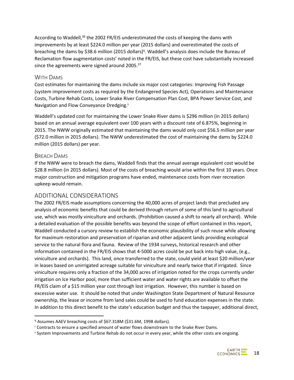According to Waddell,<sup>36</sup> the 2002 FR/EIS underestimated the costs of keeping the dams with improvements by at least \$224.0 million per year (2015 dollars) and overestimated the costs of breaching the dams by \$38.6 million (2015 dollars)<sup>q</sup>. Waddell's analysis does include the Bureau of Reclamation flow augmentation costs<sup>r</sup> noted in the FR/EIS, but these cost have substantially increased since the agreements were signed around 2005.<sup>37</sup>

#### WITH DAMS

Cost estimates for maintaining the dams include six major cost categories: Improving Fish Passage (system improvement costs as required by the Endangered Species Act), Operations and Maintenance Costs, Turbine Rehab Costs, Lower Snake River Compensation Plan Cost, BPA Power Service Cost, and Navigation and Flow Conveyance Dredging.<sup>5</sup>

Waddell's updated cost for maintaining the Lower Snake River dams is \$296 million (in 2015 dollars) based on an annual average equivalent over 100 years with a discount rate of 6.875%, beginning in 2015. The NWW originally estimated that maintaining the dams would only cost \$56.5 million per year (\$72.0 million in 2015 dollars). The NWW underestimated the cost of maintaining the dams by \$224.0 million (2015 dollars) per year.

### BREACH DAMS

If the NWW were to breach the dams, Waddell finds that the annual average equivalent cost would be \$28.8 million (in 2015 dollars). Most of the costs of breaching would arise within the first 10 years. Once major construction and mitigation programs have ended, maintenance costs from river recreation upkeep would remain.

## ADDITIONAL CONSIDERATIONS

The 2002 FR/EIS made assumptions concerning the 40,000 acres of project lands that precluded any analysis of economic benefits that could be derived through return of some of this land to agricultural use, which was mostly viniculture and orchards. (Prohibition caused a shift to nearly all orchard). While a detailed evaluation of the possible benefits was beyond the scope of effort contained in this report, Waddell conducted a cursory review to establish the economic plausibility of such reuse while allowing for maximum restoration and preservation of riparian and other adjacent lands providing ecological service to the natural flora and fauna. Review of the 1934 surveys, historical research and other information contained in the FR/EIS shows that 4-5000 acres could be put back into high value, (e.g., viniculture and orchards). This land, once transferred to the state, could yield at least \$20 million/year in leases based on unirrigated acreage suitable for viniculture and nearly twice that if irrigated. Since viniculture requires only a fraction of the 34,000 acres of irrigation noted for the crops currently under irrigation on Ice Harbor pool, more than sufficient water and water rights are available to offset the FR/EIS claim of a \$15 million year cost through lost irrigation. However, this number is based on excessive water use. It should be noted that under Washington State Department of Natural Resource ownership, the lease or income from land sales could be used to fund education expenses in the state. In addition to this direct benefit to the state's education budget and thus the taxpayer, additional direct,

<sup>&</sup>lt;sup>q</sup> Assumes AAEV breaching costs of \$67.318M (\$31.6M, 1998 dollars).

<sup>r</sup> Contracts to ensure a specified amount of water flows downstream to the Snake River Dams.

<sup>s</sup> System Improvements and Turbine Rehab do not occur in every year, while the other costs are ongoing.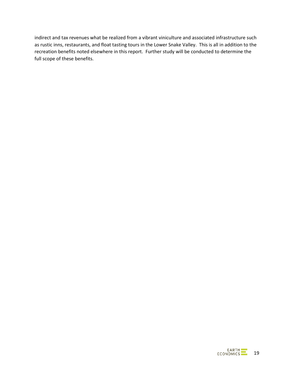indirect and tax revenues what be realized from a vibrant viniculture and associated infrastructure such as rustic inns, restaurants, and float tasting tours in the Lower Snake Valley. This is all in addition to the recreation benefits noted elsewhere in this report. Further study will be conducted to determine the full scope of these benefits.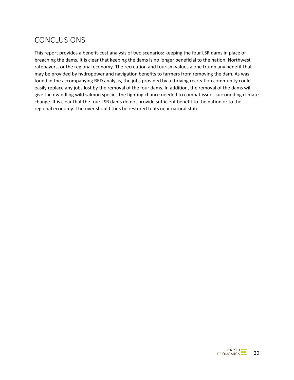## CONCLUSIONS

This report provides a benefit-cost analysis of two scenarios: keeping the four LSR dams in place or breaching the dams. It is clear that keeping the dams is no longer beneficial to the nation, Northwest ratepayers, or the regional economy. The recreation and tourism values alone trump any benefit that may be provided by hydropower and navigation benefits to farmers from removing the dam. As was found in the accompanying RED analysis, the jobs provided by a thriving recreation community could easily replace any jobs lost by the removal of the four dams. In addition, the removal of the dams will give the dwindling wild salmon species the fighting chance needed to combat issues surrounding climate change. It is clear that the four LSR dams do not provide sufficient benefit to the nation or to the regional economy. The river should thus be restored to its near natural state.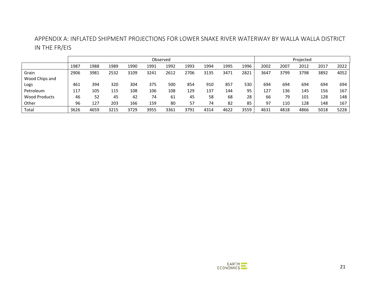## APPENDIX A: INFLATED SHIPMENT PROJECTIONS FOR LOWER SNAKE RIVER WATERWAY BY WALLA WALLA DISTRICT IN THE FR/EIS

|                      |      | Observed |      |      |      |      |      |      |      |      |      | Projected |      |      |      |
|----------------------|------|----------|------|------|------|------|------|------|------|------|------|-----------|------|------|------|
|                      | 1987 | 1988     | 1989 | 1990 | 1991 | 1992 | 1993 | 1994 | 1995 | 1996 | 2002 | 2007      | 2012 | 2017 | 2022 |
| Grain                | 2906 | 3981     | 2532 | 3109 | 3241 | 2612 | 2706 | 3135 | 3471 | 2821 | 3647 | 3799      | 3798 | 3892 | 4052 |
| Wood Chips and       |      |          |      |      |      |      |      |      |      |      |      |           |      |      |      |
| Logs                 | 461  | 394      | 320  | 304  | 375  | 500  | 854  | 910  | 857  | 530  | 694  | 694       | 694  | 694  | 694  |
| Petroleum            | 117  | 105      | 115  | 108  | 106  | 108  | 129  | 137  | 144  | 95   | 127  | 136       | 145  | 156  | 167  |
| <b>Wood Products</b> | 46   | 52       | 45   | 42   | 74   | 61   | 45   | 58   | 68   | 28   | 66   | 79        | 101  | 128  | 148  |
| Other                | 96   | 127      | 203  | 166  | 159  | 80   | 57   | 74   | 82   | 85   | 97   | 110       | 128  | 148  | 167  |
| Total                | 3626 | 4659     | 3215 | 3729 | 3955 | 3361 | 3791 | 4314 | 4622 | 3559 | 4631 | 4818      | 4866 | 5018 | 5228 |

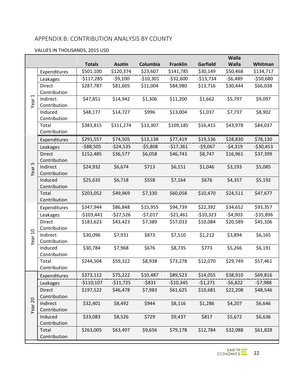## APPENDIX B: CONTRIBUTION ANALYSIS BY COUNTY

#### VALUES IN THOUSANDS, 2015 USD

|                          |                               |               |               |            |                 |            | <b>Walla</b> |            |
|--------------------------|-------------------------------|---------------|---------------|------------|-----------------|------------|--------------|------------|
|                          |                               | <b>Totals</b> | <b>Asotin</b> | Columbia   | <b>Franklin</b> | Garfield   | <b>Walla</b> | Whitman    |
|                          | Expenditures                  | \$501,100     | \$120,374     | \$23,607   | \$141,785       | \$30,149   | \$50,468     | \$134,717  |
|                          | Leakages                      | $-$117,285$   | $-59,100$     | $-510,301$ | $-532,600$      | $-$13,734$ | $-56,489$    | $-550,680$ |
|                          | <b>Direct</b>                 | \$287,787     | \$81,605      | \$11,004   | \$84,980        | \$13,716   | \$30,444     | \$66,038   |
| $\overline{\phantom{0}}$ | Contribution                  |               |               |            |                 |            |              |            |
| Year                     | Indirect                      | \$47,851      | \$14,942      | \$1,306    | \$11,200        | \$1,662    | \$5,797      | \$9,097    |
|                          | Contribution                  |               |               |            |                 |            |              |            |
|                          | Induced                       | \$48,177      | \$14,727      | \$996      | \$13,004        | \$1,037    | \$7,737      | \$8,902    |
|                          | Contribution                  |               |               |            |                 |            |              |            |
|                          | Total<br>Contribution         | \$383,815     | \$111,274     | \$13,307   | \$109,185       | \$16,415   | \$43,978     | \$84,037   |
|                          |                               | \$291,557     | \$74,505      | \$13,138   | \$77,419        | \$19,536   | \$28,830     | \$78,130   |
|                          | Expenditures                  |               |               |            |                 |            |              |            |
|                          | Leakages                      | $-588,505$    | $-524,535$    | $-55,808$  | $-517,361$      | $-59,067$  | $-54,319$    | $-530,453$ |
|                          | <b>Direct</b><br>Contribution | \$152,485     | \$36,577      | \$6,058    | \$46,743        | \$8,747    | \$16,961     | \$37,399   |
| LN                       | Indirect                      | \$24,932      | \$6,674       | \$713      | \$6,151         | \$1,046    | \$3,193      | \$5,085    |
| Year                     | Contribution                  |               |               |            |                 |            |              |            |
|                          | Induced                       | \$25,635      | \$6,718       | \$558      | \$7,164         | \$676      | \$4,357      | \$5,192    |
|                          | Contribution                  |               |               |            |                 |            |              |            |
|                          | Total                         | \$203,052     | \$49,969      | \$7,330    | \$60,058        | \$10,470   | \$24,511     | \$47,677   |
|                          | Contribution                  |               |               |            |                 |            |              |            |
|                          | Expenditures                  | \$347,944     | \$86,848      | \$15,955   | \$94,739        | \$22,392   | \$34,652     | \$93,357   |
|                          | Leakages                      | $-$103,441$   | $-527,526$    | $-57,017$  | $-521,461$      | $-$10,323$ | $-54,903$    | $-535,896$ |
|                          | <b>Direct</b>                 | \$183,623     | \$43,423      | \$7,389    | \$57,033        | \$10,084   | \$20,589     | \$45,106   |
|                          | Contribution                  |               |               |            |                 |            |              |            |
| Year 10                  | Indirect                      | \$30,096      | \$7,931       | \$873      | \$7,510         | \$1,212    | \$3,894      | \$6,165    |
|                          | Contribution                  |               |               |            |                 |            |              |            |
|                          | Induced                       | \$30,784      | \$7,968       | \$676      | \$8,735         | \$773      | \$5,266      | \$6,191    |
|                          | Contribution                  |               |               |            |                 |            |              |            |
|                          | Total<br>Contribution         | \$244,504     | \$59,322      | \$8,938    | \$73,278        | \$12,070   | \$29,749     | \$57,461   |
|                          |                               |               |               |            |                 |            |              |            |
|                          | Expenditures                  | \$373,112     | \$75,222      | \$10,487   | \$89,523        | \$14,055   | \$38,910     | \$69,816   |
|                          | Leakages                      | $-$110,107$   | $-511,725$    | $-5831$    | $-$10,345$      | $-51,271$  | $-56,822$    | $-57,988$  |
|                          | <b>Direct</b>                 | \$197,522     | \$46,478      | \$7,983    | \$61,625        | \$10,681   | \$22,208     | \$48,546   |
|                          | Contribution                  | \$32,401      | \$8,492       | \$944      | \$8,116         | \$1,286    | \$4,207      | \$6,646    |
| Year <sub>20</sub>       | Indirect<br>Contribution      |               |               |            |                 |            |              |            |
|                          | Induced                       | \$33,083      | \$8,526       | \$729      | \$9,437         | \$817      | \$5,672      | \$6,636    |
|                          | Contribution                  |               |               |            |                 |            |              |            |
|                          | Total                         | \$263,005     | \$63,497      | \$9,656    | \$79,178        | \$12,784   | \$32,088     | \$61,828   |
|                          | Contribution                  |               |               |            |                 |            |              |            |
|                          |                               |               |               |            |                 |            |              |            |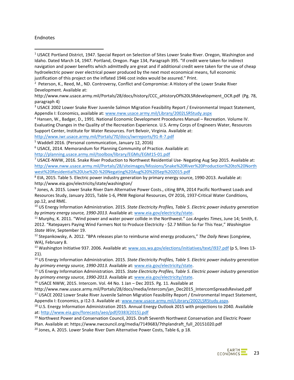#### Endnotes

<sup>4</sup> Hansen, W., Badger, D., 1991. National Economic Development Procedures Manual – Recreation. Volume IV. Evaluating Changes in the Quality of the Recreation Experience. U.S. Army Corps of Engineers Water, Resources Support Center, Institute for Water Resources. Fort Belvoir, Virginia. Available at:

<http://www.iwr.usace.army.mil/Portals/70/docs/iwrreports/91-R-7.pdf>

<sup>5</sup> Waddell 2016. (Personal communication, January 12, 2016)

<http://planning.usace.army.mil/toolbox/library/EGMs/EGM15-01.pdf>

<sup>7</sup> USACE-NWW, 2016. Snake River Production to Northwest Residential Use- Negating Aug Sep 2015. Available at: [http://www.nww.usace.army.mil/Portals/28/siteimages/Missions/Snake%20River%20Production%20to%20North](http://www.nww.usace.army.mil/Portals/28/siteimages/Missions/Snake%20River%20Production%20to%20Northwest%20Residential%20Use%20-%20Negating%20Aug%20%20Sep%202015.pdf) [west%20Residential%20Use%20-%20Negating%20Aug%20%20Sep%202015.pdf](http://www.nww.usace.army.mil/Portals/28/siteimages/Missions/Snake%20River%20Production%20to%20Northwest%20Residential%20Use%20-%20Negating%20Aug%20%20Sep%202015.pdf)

<sup>8</sup> EIA, 2015. Table 5. Electric power industry generation by primary energy source, 1990-2013. Available at: http://www.eia.gov/electricity/state/washington/

<sup>9</sup> Jones, A. 2015. Lower Snake River Dam Alternative Power Costs., citing BPA, 2014 Pacific Northwest Loads and Resources Study, January 2015, Table 1-6, PNW Regional Resources, OY 2016, 1937-Critical Water Conditions, pp.12, and RME.

<sup>10</sup> US Energy Information Administration. 2015. *State Electricity Profiles, Table 5. Electric power industry generation by primary energy source, 1990-2013.* Available at: [www.eia.gov/electricity/state.](http://www.eia.gov/electricity/state)

<sup>11</sup> Murphy, K. 2011. "Wind power and water power collide in the Northwest." *Los Angeles Times*, June 14; Smith, E. 2012. "Ratepayers Paying Wind Farmers Not to Produce Electricity - \$2.7 Million So Far This Year," *Washington State Wire*, September 19.

<sup>12</sup> Stepankowsky, A. 2012. "BPA releases plan to reimburse wind energy producers," *The Daily News* (Longview, WA), February 8.

<sup>13</sup> Washington Initiative 937. 2006. Available at: [www.sos.wa.gov/elections/initiatives/text/i937.pdf](http://www.sos.wa.gov/elections/initiatives/text/i937.pdf) (p 5, lines 13-21).

<sup>14</sup> US Energy Information Administration. 2015. *State Electricity Profiles, Table 5. Electric power industry generation by primary energy source, 1990-2013.* Available at: [www.eia.gov/electricity/state.](http://www.eia.gov/electricity/state)

<sup>15</sup> US Energy Information Administration. 2015. *State Electricity Profiles, Table 5. Electric power industry generation by primary energy source, 1990-2013.* Available at: [www.eia.gov/electricity/state.](http://www.eia.gov/electricity/state)

<sup>16</sup> USACE NWW, 2015. Intercom. Vol. 44 No. 1 Jan – Dec 2015. Pg. 11. Available at

http://www.nww.usace.army.mil/Portals/28/docs/media/intercom/jan\_Dec2015\_IntercomSpreadsRevised.pdf <sup>17</sup> USACE 2002 Lower Snake River Juvenile Salmon Migration Feasibility Report / Environmental Impact Statement, Appendix I: Economics, p I12-3. Available at[: www.nww.usace.army.mil/Library/2002LSRStudy.aspx.](http://www.nww.usace.army.mil/Library/2002LSRStudy.aspx)

<sup>18</sup> U.S. Energy Information Administration 2015. Annual Energy Outlook 2015 with projections to 2040. Available at: [http://www.eia.gov/forecasts/aeo/pdf/0383\(2015\).pdf](http://www.eia.gov/forecasts/aeo/pdf/0383(2015).pdf)

<sup>19</sup> Northwest Power and Conservation Council, 2015. Draft Seventh Northwest Conservation and Electric Power Plan. Available at: https://www.nwcouncil.org/media/7149683/7thplandraft\_full\_20151020.pdf

<sup>20</sup> Jones, A. 2015. Lower Snake River Dam Alternative Power Costs, Table 6, p 18.

 $1$  USACE Portland District, 1947. Special Report on Selection of Sites Lower Snake River. Oregon, Washington and Idaho. Dated March 14, 1947. Portland, Oregon. Page 134, Paragraph 395. "If credit were taken for indirect navigation and power benefits which admittedly are great and if additional credit were taken for the use of cheap hydroelectric power over electrical power produced by the next most economical means, full economic justification of this project on the inflated 1946 cost index would be assured." Print.

<sup>&</sup>lt;sup>2</sup> Peterson, K., Reed, M., ND. Controversy, Conflict and Compromise: A History of the Lower Snake River Development. Available at:

http://www.nww.usace.army.mil/Portals/28/docs/history/CCC\_aHistoryOf%20LSRdevelopment\_OCR.pdf (Pg. 78, paragraph 4)

<sup>3</sup> USACE 2002 Lower Snake River Juvenile Salmon Migration Feasibility Report / Environmental Impact Statement, Appendix I: Economics, available at[: www.nww.usace.army.mil/Library/2002LSRStudy.aspx](http://www.nww.usace.army.mil/Library/2002LSRStudy.aspx)

<sup>6</sup> USACE, 2014. Memorandum for Planning Community of Practice. Available at: